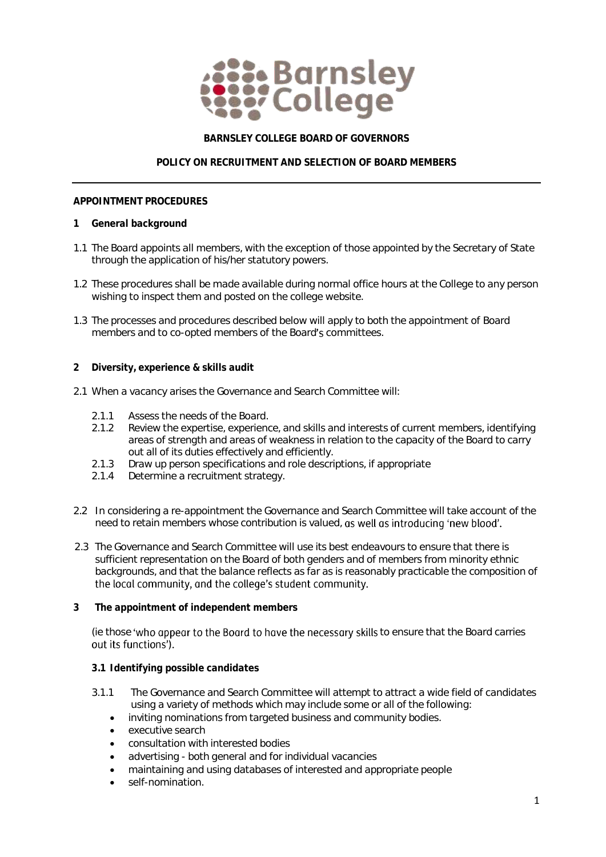

# **BARNSLEY COLLEGE BOARD OF GOVERNORS**

# **POLICY ON RECRUITMENT AND SELECTION OF BOARD MEMBERS**

#### **APPOINTMENT PROCEDURES**

- **1 General background**
- 1.1 The Board appoints all members, with the exception of those appointed by the Secretary of State through the application of his/her statutory powers.
- 1.2 These procedures shall be made available during normal office hours at the College to any person wishing to inspect them and posted on the college website.
- 1.3 The processes and procedures described below will apply to both the appointment of Board members and to co-opted members of the Board's committees.
- **2 Diversity, experience & skills audit**
- 2.1 When a vacancy arises the Governance and Search Committee will:
	- 2.1.1 Assess the needs of the Board.
	- 2.1.2 Review the expertise, experience, and skills and interests of current members, identifying areas of strength and areas of weakness in relation to the capacity of the Board to carry out all of its duties effectively and efficiently.
	- 2.1.3 Draw up person specifications and role descriptions, if appropriate
	- 2.1.4 Determine a recruitment strategy.
- 2.2 In considering a re-appointment the Governance and Search Committee will take account of the need to retain members whose contribution is valued, as well as introducing 'new blood'.
- 2.3 The Governance and Search Committee will use its best endeavours to ensure that there is sufficient representation on the Board of both genders and of members from minority ethnic backgrounds, and that the balance reflects as far as is reasonably practicable the composition of the local community, and the college's student community.
- **3 The appointment of independent members**

(ie those 'who appear to the Board to have the necessary skills to ensure that the Board carries out its functions').

- **3.1 Identifying possible candidates**
- 3.1.1 The Governance and Search Committee will attempt to attract a wide field of candidates using a variety of methods which may include some or all of the following:
	- inviting nominations from targeted business and community bodies.
	- executive search
	- consultation with interested bodies
	- advertising both general and for individual vacancies
	- maintaining and using databases of interested and appropriate people
	- self-nomination.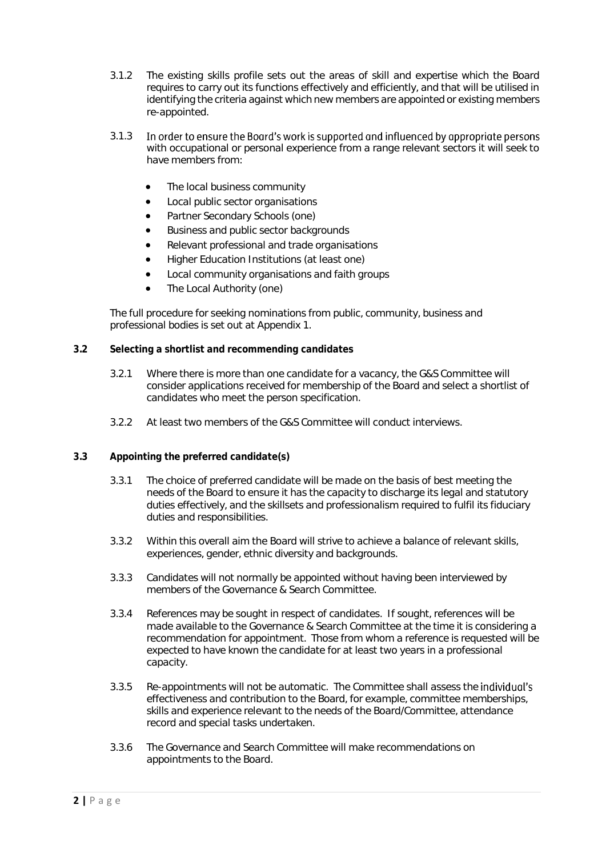- 3.1.2 The existing skills profile sets out the areas of skill and expertise which the Board requires to carry out its functions effectively and efficiently, and that will be utilised in identifying the criteria against which new members are appointed or existing members re-appointed.
- In order to ensure the Board's work is supported and influenced by appropriate persons 3.1.3 with occupational or personal experience from a range relevant sectors it will seek to have members from:
	- The local business community
	- Local public sector organisations
	- Partner Secondary Schools (one)
	- Business and public sector backgrounds
	- Relevant professional and trade organisations
	- Higher Education Institutions (at least one)
	- Local community organisations and faith groups
	- The Local Authority (one)

The full procedure for seeking nominations from public, community, business and professional bodies is set out at Appendix 1.

- **3.2 Selecting a shortlist and recommending candidates**
	- 3.2.1 Where there is more than one candidate for a vacancy, the G&S Committee will consider applications received for membership of the Board and select a shortlist of candidates who meet the person specification.
	- 3.2.2 At least two members of the G&S Committee will conduct interviews.
- **3.3 Appointing the preferred candidate(s)**
	- 3.3.1 The choice of preferred candidate will be made on the basis of best meeting the needs of the Board to ensure it has the capacity to discharge its legal and statutory duties effectively, and the skillsets and professionalism required to fulfil its fiduciary duties and responsibilities.
	- 3.3.2 Within this overall aim the Board will strive to achieve a balance of relevant skills, experiences, gender, ethnic diversity and backgrounds.
	- 3.3.3 Candidates will not normally be appointed without having been interviewed by members of the Governance & Search Committee.
	- 3.3.4 References *may* be sought in respect of candidates. If sought, references will be made available to the Governance & Search Committee at the time it is considering a recommendation for appointment. Those from whom a reference is requested will be expected to have known the candidate for at least two years in a professional capacity.
	- 3.3.5 Re-appointments will not be automatic. The Committee shall assess the *individual's* effectiveness and contribution to the Board, for example, committee memberships, skills and experience relevant to the needs of the Board/Committee, attendance record and special tasks undertaken.
	- 3.3.6 The Governance and Search Committee will make recommendations on appointments to the Board.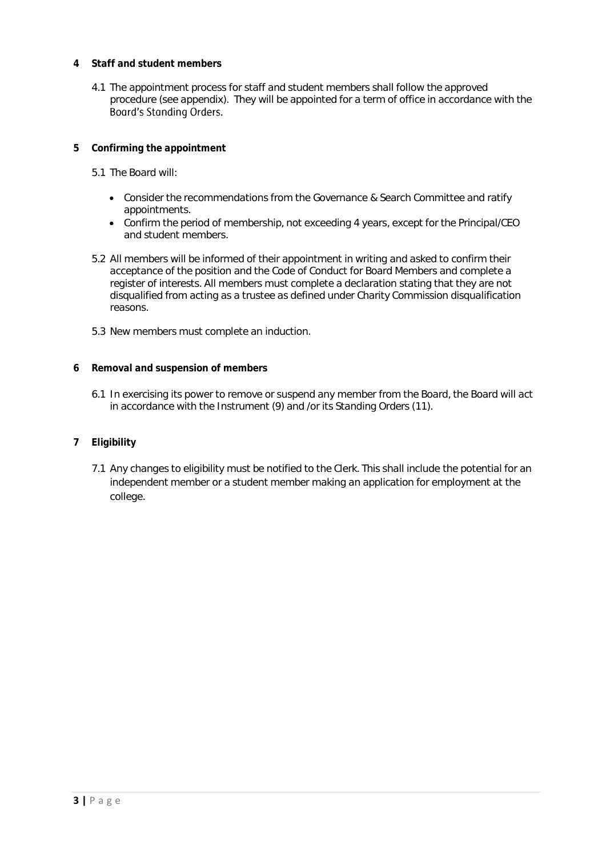- **4 Staff and student members**
	- 4.1 The appointment process for staff and student members shall follow the approved procedure (see appendix). They will be appointed for a term of office in accordance with the Board's Standing Orders.
- **5 Confirming the appointment**
	- 5.1 The Board will:
		- Consider the recommendations from the Governance & Search Committee and ratify appointments.
		- Confirm the period of membership, not exceeding 4 years, except for the Principal/CEO and student members.
	- 5.2 All members will be informed of their appointment in writing and asked to confirm their acceptance of the position and the Code of Conduct for Board Members and complete a register of interests. All members must complete a declaration stating that they are not disqualified from acting as a trustee as defined under Charity Commission disqualification reasons.
	- 5.3 New members must complete an induction.
- **6 Removal and suspension of members**
	- 6.1 In exercising its power to remove or suspend any member from the Board, the Board will act in accordance with the Instrument (9) and /or its Standing Orders (11).
- **7 Eligibility**
	- 7.1 Any changes to eligibility must be notified to the Clerk. This shall include the potential for an independent member or a student member making an application for employment at the college.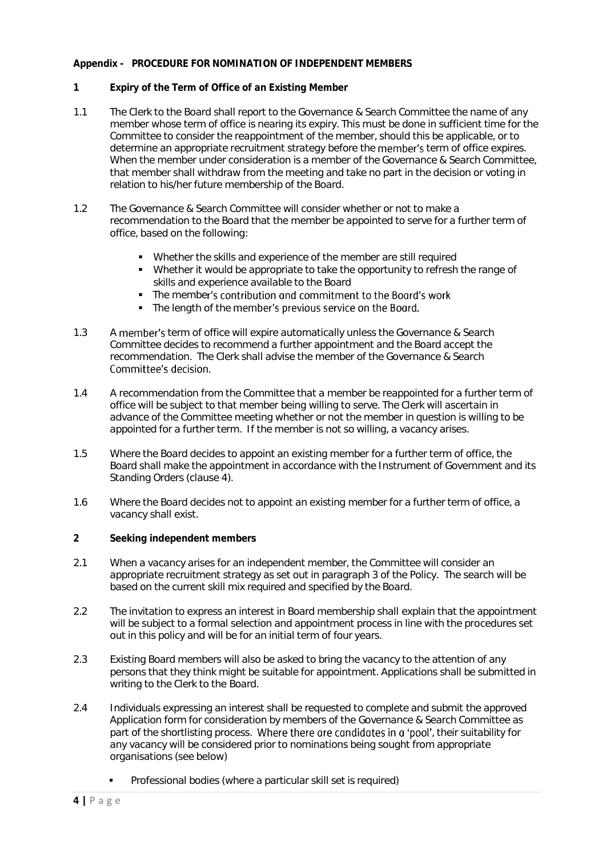### **Appendix - PROCEDURE FOR NOMINATION OF INDEPENDENT MEMBERS**

- **1 Expiry of the Term of Office of an Existing Member**
- 1.1 The Clerk to the Board shall report to the Governance & Search Committee the name of any member whose term of office is nearing its expiry. This must be done in sufficient time for the Committee to consider the reappointment of the member, should this be applicable, or to determine an appropriate recruitment strategy before the **member's** term of office expires. When the member under consideration is a member of the Governance & Search Committee, that member shall withdraw from the meeting and take no part in the decision or voting in relation to his/her future membership of the Board.
- 1.2 The Governance & Search Committee will consider whether or not to make a recommendation to the Board that the member be appointed to serve for a further term of office, based on the following:
	- Whether the skills and experience of the member are still required
	- Whether it would be appropriate to take the opportunity to refresh the range of skills and experience available to the Board
	- The member's contribution and commitment to the Board's work
	- The length of the member's previous service on the Board.
- 1.3 A member's term of office will expire automatically unless the Governance & Search Committee decides to recommend a further appointment and the Board accept the recommendation. The Clerk shall advise the member of the Governance & Search Committee's decision.
- 1.4 A recommendation from the Committee that a member be reappointed for a further term of office will be subject to that member being willing to serve. The Clerk will ascertain in advance of the Committee meeting whether or not the member in question is willing to be appointed for a further term. If the member is not so willing, a vacancy arises.
- 1.5 Where the Board decides to appoint an existing member for a further term of office, the Board shall make the appointment in accordance with the Instrument of Government and its Standing Orders (clause 4).
- 1.6 Where the Board decides not to appoint an existing member for a further term of office, a vacancy shall exist.
- **2 Seeking independent members**
- 2.1 When a vacancy arises for an independent member, the Committee will consider an appropriate recruitment strategy as set out in paragraph 3 of the Policy. The search will be based on the current skill mix required and specified by the Board.
- 2.2 The invitation to express an interest in Board membership shall explain that the appointment will be subject to a formal selection and appointment process in line with the procedures set out in this policy and will be for an initial term of four years.
- 2.3 Existing Board members will also be asked to bring the vacancy to the attention of any persons that they think might be suitable for appointment. Applications shall be submitted in writing to the Clerk to the Board.
- 2.4 Individuals expressing an interest shall be requested to complete and submit the approved Application form for consideration by members of the Governance & Search Committee as part of the shortlisting process. Where there are candidates in a 'pool', their suitability for any vacancy will be considered prior to nominations being sought from appropriate organisations (see below)
	- Professional bodies (where a particular skill set is required)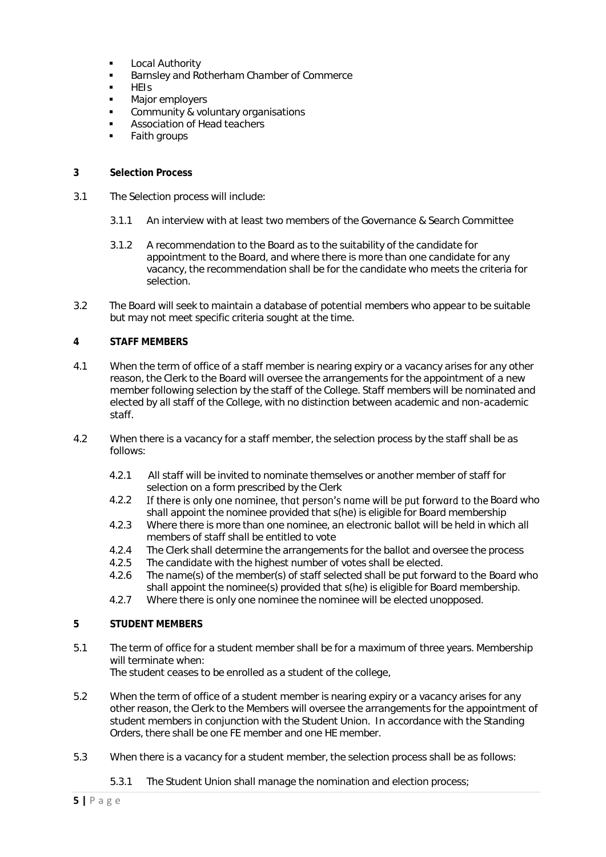- **Local Authority**
- Barnsley and Rotherham Chamber of Commerce
- HEIs
- Major employers
- Community & voluntary organisations
- Association of Head teachers
- Faith groups
- **3 Selection Process**
- 3.1 The Selection process will include:
	- 3.1.1 An interview with at least two members of the Governance & Search Committee
	- 3.1.2 A recommendation to the Board as to the suitability of the candidate for appointment to the Board, and where there is more than one candidate for any vacancy, the recommendation shall be for the candidate who meets the criteria for selection.
- 3.2 The Board will seek to maintain a database of potential members who appear to be suitable but may not meet specific criteria sought at the time.

### **4 STAFF MEMBERS**

- 4.1 When the term of office of a staff member is nearing expiry or a vacancy arises for any other reason, the Clerk to the Board will oversee the arrangements for the appointment of a new member following selection by the staff of the College. Staff members will be nominated and elected by all staff of the College, with no distinction between academic and non-academic staff.
- 4.2 When there is a vacancy for a staff member, the selection process by the staff shall be as follows:
	- 4.2.1 All staff will be invited to nominate themselves or another member of staff for selection on a form prescribed by the Clerk
	- 4.2.2 If there is only one nominee, that person's name will be put forward to the Board who shall appoint the nominee provided that s(he) is eligible for Board membership
	- 4.2.3 Where there is more than one nominee, an electronic ballot will be held in which all members of staff shall be entitled to vote
	- 4.2.4 The Clerk shall determine the arrangements for the ballot and oversee the process
	- 4.2.5 The candidate with the highest number of votes shall be elected.
	- 4.2.6 The name(s) of the member(s) of staff selected shall be put forward to the Board who shall appoint the nominee(s) provided that s(he) is eligible for Board membership.
	- 4.2.7 Where there is only one nominee the nominee will be elected unopposed.
- **5 STUDENT MEMBERS**
- 5.1 The term of office for a student member shall be for a maximum of three years. Membership will terminate when:

The student ceases to be enrolled as a student of the college,

- 5.2 When the term of office of a student member is nearing expiry or a vacancy arises for any other reason, the Clerk to the Members will oversee the arrangements for the appointment of student members in conjunction with the Student Union. In accordance with the Standing Orders, there shall be one FE member and one HE member.
- 5.3 When there is a vacancy for a student member, the selection process shall be as follows:
	- 5.3.1 The Student Union shall manage the nomination and election process;